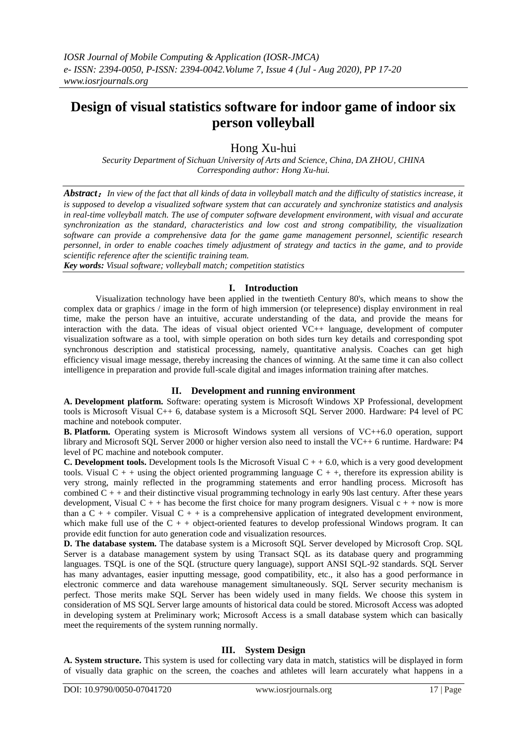# **Design of visual statistics software for indoor game of indoor six person volleyball**

Hong Xu-hui

*Security Department of Sichuan University of Arts and Science, China, DA ZHOU, CHINA Corresponding author: Hong Xu-hui.*

*Abstract*:*In view of the fact that all kinds of data in volleyball match and the difficulty of statistics increase, it is supposed to develop a visualized software system that can accurately and synchronize statistics and analysis in real-time volleyball match. The use of computer software development environment, with visual and accurate synchronization as the standard, characteristics and low cost and strong compatibility, the visualization software can provide a comprehensive data for the game game management personnel, scientific research personnel, in order to enable coaches timely adjustment of strategy and tactics in the game, and to provide scientific reference after the scientific training team.*

*Key words: Visual software; volleyball match; competition statistics*

## **I. Introduction**

Visualization technology have been applied in the twentieth Century 80's, which means to show the complex data or graphics / image in the form of high immersion (or telepresence) display environment in real time, make the person have an intuitive, accurate understanding of the data, and provide the means for interaction with the data. The ideas of visual object oriented VC++ language, development of computer visualization software as a tool, with simple operation on both sides turn key details and corresponding spot synchronous description and statistical processing, namely, quantitative analysis. Coaches can get high efficiency visual image message, thereby increasing the chances of winning. At the same time it can also collect intelligence in preparation and provide full-scale digital and images information training after matches.

## **II. Development and running environment**

**A. Development platform.** Software: operating system is Microsoft Windows XP Professional, development tools is Microsoft Visual C++ 6, database system is a Microsoft SQL Server 2000. Hardware: P4 level of PC machine and notebook computer.

**B. Platform.** Operating system is Microsoft Windows system all versions of VC++6.0 operation, support library and Microsoft SQL Server 2000 or higher version also need to install the VC++ 6 runtime. Hardware: P4 level of PC machine and notebook computer.

**C. Development tools.** Development tools Is the Microsoft Visual  $C + 6.0$ , which is a very good development tools. Visual  $C + +$  using the object oriented programming language  $C + +$ , therefore its expression ability is very strong, mainly reflected in the programming statements and error handling process. Microsoft has combined  $C + +$  and their distinctive visual programming technology in early 90s last century. After these years development, Visual  $C + +$  has become the first choice for many program designers. Visual  $c + +$  now is more than a  $C + +$  compiler. Visual  $C + +$  is a comprehensive application of integrated development environment, which make full use of the  $C + +$  object-oriented features to develop professional Windows program. It can provide edit function for auto generation code and visualization resources.

**D. The database system.** The database system is a Microsoft SQL Server developed by Microsoft Crop. SQL Server is a database management system by using Transact SQL as its database query and programming languages. TSQL is one of the SQL (structure query language), support ANSI SQL-92 standards. SQL Server has many advantages, easier inputting message, good compatibility, etc., it also has a good performance in electronic commerce and data warehouse management simultaneously. SQL Server security mechanism is perfect. Those merits make SQL Server has been widely used in many fields. We choose this system in consideration of MS SQL Server large amounts of historical data could be stored. Microsoft Access was adopted in developing system at Preliminary work; Microsoft Access is a small database system which can basically meet the requirements of the system running normally.

## **III. System Design**

**A. System structure.** This system is used for collecting vary data in match, statistics will be displayed in form of visually data graphic on the screen, the coaches and athletes will learn accurately what happens in a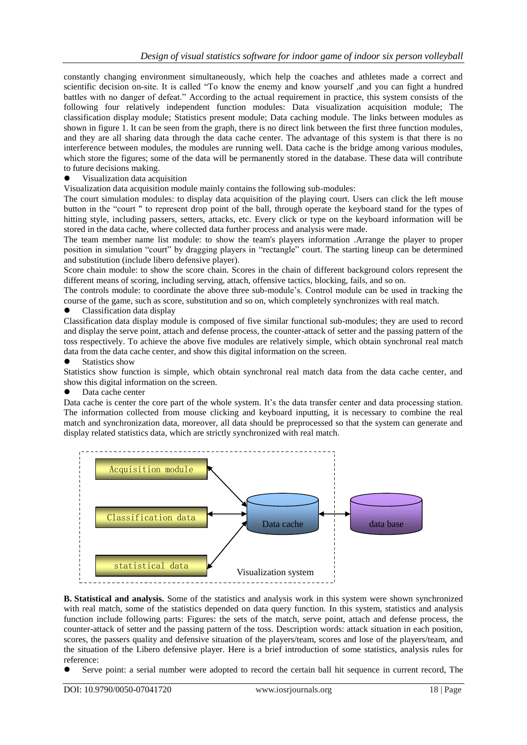constantly changing environment simultaneously, which help the coaches and athletes made a correct and scientific decision on-site. It is called "To know the enemy and know yourself ,and you can fight a hundred battles with no danger of defeat." According to the actual requirement in practice, this system consists of the following four relatively independent function modules: Data visualization acquisition module; The classification display module; Statistics present module; Data caching module. The links between modules as shown in figure 1. It can be seen from the graph, there is no direct link between the first three function modules, and they are all sharing data through the data cache center. The advantage of this system is that there is no interference between modules, the modules are running well. Data cache is the bridge among various modules, which store the figures; some of the data will be permanently stored in the database. These data will contribute to future decisions making.

Visualization data acquisition

Visualization data acquisition module mainly contains the following sub-modules:

The court simulation modules: to display data acquisition of the playing court. Users can click the left mouse button in the "court " to represent drop point of the ball, through operate the keyboard stand for the types of hitting style, including passers, setters, attacks, etc. Every click or type on the keyboard information will be stored in the data cache, where collected data further process and analysis were made.

The team member name list module: to show the team's players information .Arrange the player to proper position in simulation "court" by dragging players in "rectangle" court. The starting lineup can be determined and substitution (include libero defensive player).

Score chain module: to show the score chain. Scores in the chain of different background colors represent the different means of scoring, including serving, attach, offensive tactics, blocking, fails, and so on.

The controls module: to coordinate the above three sub-module's. Control module can be used in tracking the course of the game, such as score, substitution and so on, which completely synchronizes with real match.

#### Classification data display

Classification data display module is composed of five similar functional sub-modules; they are used to record and display the serve point, attach and defense process, the counter-attack of setter and the passing pattern of the toss respectively. To achieve the above five modules are relatively simple, which obtain synchronal real match data from the data cache center, and show this digital information on the screen.

#### Statistics show

Statistics show function is simple, which obtain synchronal real match data from the data cache center, and show this digital information on the screen.

### Data cache center

Data cache is center the core part of the whole system. It's the data transfer center and data processing station. The information collected from mouse clicking and keyboard inputting, it is necessary to combine the real match and synchronization data, moreover, all data should be preprocessed so that the system can generate and display related statistics data, which are strictly synchronized with real match.



**B. Statistical and analysis.** Some of the statistics and analysis work in this system were shown synchronized with real match, some of the statistics depended on data query function. In this system, statistics and analysis function include following parts: Figures: the sets of the match, serve point, attach and defense process, the counter-attack of setter and the passing pattern of the toss. Description words: attack situation in each position, scores, the passers quality and defensive situation of the players/team, scores and lose of the players/team, and the situation of the Libero defensive player. Here is a brief introduction of some statistics, analysis rules for reference:

Serve point: a serial number were adopted to record the certain ball hit sequence in current record, The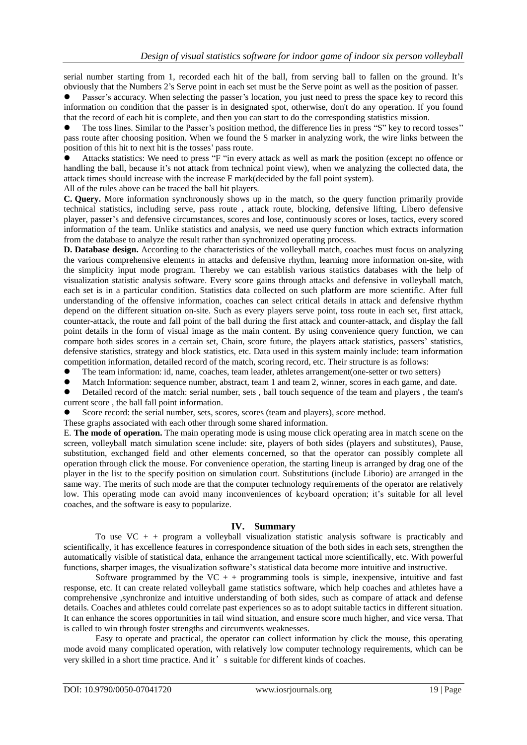serial number starting from 1, recorded each hit of the ball, from serving ball to fallen on the ground. It's obviously that the Numbers 2's Serve point in each set must be the Serve point as well as the position of passer.

 Passer's accuracy. When selecting the passer's location, you just need to press the space key to record this information on condition that the passer is in designated spot, otherwise, don't do any operation. If you found that the record of each hit is complete, and then you can start to do the corresponding statistics mission.

 The toss lines. Similar to the Passer's position method, the difference lies in press "S" key to record tosses'' pass route after choosing position. When we found the S marker in analyzing work, the wire links between the position of this hit to next hit is the tosses' pass route.

 Attacks statistics: We need to press "F "in every attack as well as mark the position (except no offence or handling the ball, because it's not attack from technical point view), when we analyzing the collected data, the attack times should increase with the increase F mark(decided by the fall point system).

All of the rules above can be traced the ball hit players.

**C. Query.** More information synchronously shows up in the match, so the query function primarily provide technical statistics, including serve, pass route , attack route, blocking, defensive lifting, Libero defensive player, passer's and defensive circumstances, scores and lose, continuously scores or loses, tactics, every scored information of the team. Unlike statistics and analysis, we need use query function which extracts information from the database to analyze the result rather than synchronized operating process.

**D. Database design.** According to the characteristics of the volleyball match, coaches must focus on analyzing the various comprehensive elements in attacks and defensive rhythm, learning more information on-site, with the simplicity input mode program. Thereby we can establish various statistics databases with the help of visualization statistic analysis software. Every score gains through attacks and defensive in volleyball match, each set is in a particular condition. Statistics data collected on such platform are more scientific. After full understanding of the offensive information, coaches can select critical details in attack and defensive rhythm depend on the different situation on-site. Such as every players serve point, toss route in each set, first attack, counter-attack, the route and fall point of the ball during the first attack and counter-attack, and display the fall point details in the form of visual image as the main content. By using convenience query function, we can compare both sides scores in a certain set, Chain, score future, the players attack statistics, passers' statistics, defensive statistics, strategy and block statistics, etc. Data used in this system mainly include: team information competition information, detailed record of the match, scoring record, etc. Their structure is as follows:

- The team information: id, name, coaches, team leader, athletes arrangement(one-setter or two setters)
- Match Information: sequence number, abstract, team 1 and team 2, winner, scores in each game, and date.
- Detailed record of the match: serial number, sets , ball touch sequence of the team and players , the team's current score , the ball fall point information.

Score record: the serial number, sets, scores, scores (team and players), score method.

These graphs associated with each other through some shared information.

E. **The mode of operation.** The main operating mode is using mouse click operating area in match scene on the screen, volleyball match simulation scene include: site, players of both sides (players and substitutes), Pause, substitution, exchanged field and other elements concerned, so that the operator can possibly complete all operation through click the mouse. For convenience operation, the starting lineup is arranged by drag one of the player in the list to the specify position on simulation court. Substitutions (include Liborio) are arranged in the same way. The merits of such mode are that the computer technology requirements of the operator are relatively low. This operating mode can avoid many inconveniences of keyboard operation; it's suitable for all level coaches, and the software is easy to popularize.

#### **IV. Summary**

To use  $VC + +$  program a volleyball visualization statistic analysis software is practicably and scientifically, it has excellence features in correspondence situation of the both sides in each sets, strengthen the automatically visible of statistical data, enhance the arrangement tactical more scientifically, etc. With powerful functions, sharper images, the visualization software's statistical data become more intuitive and instructive.

Software programmed by the VC  $+$  + programming tools is simple, inexpensive, intuitive and fast response, etc. It can create related volleyball game statistics software, which help coaches and athletes have a comprehensive ,synchronize and intuitive understanding of both sides, such as compare of attack and defense details. Coaches and athletes could correlate past experiences so as to adopt suitable tactics in different situation. It can enhance the scores opportunities in tail wind situation, and ensure score much higher, and vice versa. That is called to win through foster strengths and circumvents weaknesses.

Easy to operate and practical, the operator can collect information by click the mouse, this operating mode avoid many complicated operation, with relatively low computer technology requirements, which can be very skilled in a short time practice. And it's suitable for different kinds of coaches.